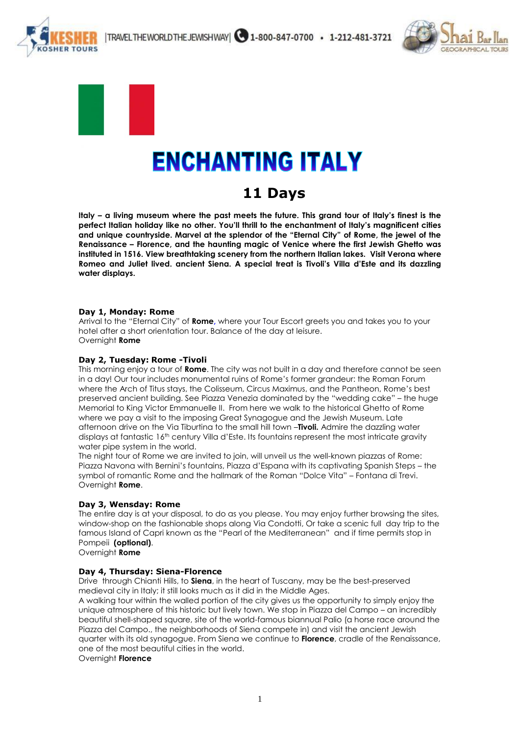



**HER TOURS** 

# **ENCHANTING ITALY**

# **11 Days**

**Italy – a living museum where the past meets the future. This grand tour of Italy's finest is the perfect Italian holiday like no other. You'll thrill to the enchantment of Italy's magnificent cities and unique countryside. Marvel at the splendor of the "Eternal City" of Rome, the jewel of the Renaissance – Florence, and the haunting magic of Venice where the first Jewish Ghetto was instituted in 1516. View breathtaking scenery from the northern Italian lakes. Visit Verona where Romeo and Juliet lived. ancient Siena. A special treat is Tivoli's Villa d'Este and its dazzling water displays.**

## **Day 1, Monday: Rome**

Arrival to the "Eternal City" of **Rome,** where your Tour Escort greets you and takes you to your hotel after a short orientation tour. Balance of the day at leisure. Overnight **Rome**

# **Day 2, Tuesday: Rome -Tivoli**

This morning enjoy a tour of **Rome**. The city was not built in a day and therefore cannot be seen in a day! Our tour includes monumental ruins of Rome's former grandeur: the Roman Forum where the Arch of Titus stays, the Colisseum, Circus Maximus, and the Pantheon, Rome's best preserved ancient building. See Piazza Venezia dominated by the "wedding cake" – the huge Memorial to King Victor Emmanuelle II. From here we walk to the historical Ghetto of Rome where we pay a visit to the imposing Great Synagogue and the Jewish Museum. Late afternoon drive on the Via Tiburtina to the small hill town –**Tivoli.** Admire the dazzling water displays at fantastic 16<sup>th</sup> century Villa d'Este. Its fountains represent the most intricate gravity water pipe system in the world.

The night tour of Rome we are invited to join, will unveil us the well-known piazzas of Rome: Piazza Navona with Bernini's fountains, Piazza d'Espana with its captivating Spanish Steps – the symbol of romantic Rome and the hallmark of the Roman "Dolce Vita" – Fontana di Trevi. Overnight **Rome**.

## **Day 3, Wensday: Rome**

The entire day is at your disposal, to do as you please. You may enjoy further browsing the sites, window-shop on the fashionable shops along Via Condotti, Or take a scenic full day trip to the famous Island of Capri known as the "Pearl of the Mediterranean"and if time permits stop in Pompeii **(optional)**.

Overnight **Rome**

## **Day 4, Thursday: Siena-Florence**

Drive through Chianti Hills, to **Siena**, in the heart of Tuscany, may be the best-preserved medieval city in Italy; it still looks much as it did in the Middle Ages.

A walking tour within the walled portion of the city gives us the opportunity to simply enjoy the unique atmosphere of this historic but lively town. We stop in Piazza del Campo – an incredibly beautiful shell-shaped square, site of the world-famous biannual Palio (a horse race around the Piazza del Campo., the neighborhoods of Siena compete in) and visit the ancient Jewish quarter with its old synagogue. From Siena we continue to **Florence**, cradle of the Renaissance, one of the most beautiful cities in the world.

Overnight **Florence**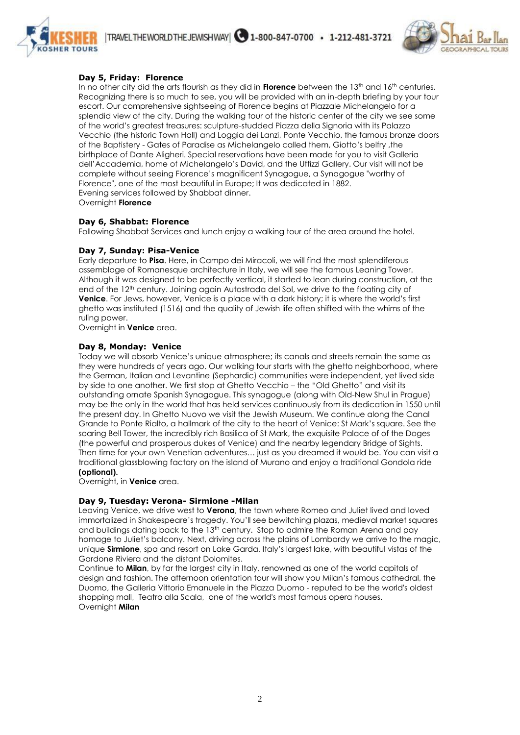



## **Day 5, Friday: Florence**

In no other city did the arts flourish as they did in **Florence** between the 13th and 16th centuries. Recognizing there is so much to see, you will be provided with an in-depth briefing by your tour escort. Our comprehensive sightseeing of Florence begins at Piazzale Michelangelo for a splendid view of the city. During the walking tour of the historic center of the city we see some of the world's greatest treasures: sculpture-studded Piazza della Signoria with its Palazzo Vecchio (the historic Town Hall) and Loggia dei Lanzi, Ponte Vecchio, the famous bronze doors of the Baptistery - Gates of Paradise as Michelangelo called them, Giotto's belfry ,the birthplace of Dante Aligheri. Special reservations have been made for you to visit Galleria dell'Accademia, home of Michelangelo's David, and the Uffizzi Gallery. Our visit will not be complete without seeing Florence's magnificent Synagogue, a Synagogue "worthy of Florence", one of the most beautiful in Europe; It was dedicated in 1882. Evening services followed by Shabbat dinner. Overnight **Florence**

#### **Day 6, Shabbat: Florence**

Following Shabbat Services and lunch enjoy a walking tour of the area around the hotel.

#### **Day 7, Sunday: Pisa-Venice**

Early departure to **Pisa**. Here, in Campo dei Miracoli, we will find the most splendiferous assemblage of Romanesque architecture in Italy, we will see the famous Leaning Tower. Although it was designed to be perfectly vertical, it started to lean during construction, at the end of the 12th century. Joining again Autostrada del Sol, we drive to the floating city of **Venice**. For Jews, however, Venice is a place with a dark history; it is where the world's first ghetto was instituted (1516) and the quality of Jewish life often shifted with the whims of the ruling power.

Overnight in **Venice** area.

#### **Day 8, Monday: Venice**

Today we will absorb Venice's unique atmosphere; its canals and streets remain the same as they were hundreds of years ago. Our walking tour starts with the ghetto neighborhood, where the German, Italian and Levantine (Sephardic) communities were independent, yet lived side by side to one another. We first stop at Ghetto Vecchio – the "Old Ghetto" and visit its outstanding ornate Spanish Synagogue. This synagogue (along with Old-New Shul in Prague) may be the only in the world that has held services continuously from its dedication in 1550 until the present day. In Ghetto Nuovo we visit the Jewish Museum. We continue along the Canal Grande to Ponte Rialto, a hallmark of the city to the heart of Venice: St Mark's square. See the soaring Bell Tower, the incredibly rich Basilica of St Mark, the exquisite Palace of of the Doges (the powerful and prosperous dukes of Venice) and the nearby legendary Bridge of Sights. Then time for your own Venetian adventures… just as you dreamed it would be. You can visit a traditional glassblowing factory on the island of Murano and enjoy a traditional Gondola ride **(optional).** 

Overnight, in **Venice** area.

## **Day 9, Tuesday: Verona- Sirmione -Milan**

Leaving Venice, we drive west to **Verona**, the town where Romeo and Juliet lived and loved immortalized in Shakespeare's tragedy. You'll see bewitching plazas, medieval market squares and buildings dating back to the 13<sup>th</sup> century. Stop to admire the Roman Arena and pay homage to Juliet's balcony. Next, driving across the plains of Lombardy we arrive to the magic, unique **Sirmione**, spa and resort on Lake Garda, Italy's largest lake, with beautiful vistas of the Gardone Riviera and the distant Dolomites.

Continue to **Milan**, by far the largest city in Italy, renowned as one of the world capitals of design and fashion. The afternoon orientation tour will show you Milan's famous cathedral, the Duomo, the Galleria Vittorio Emanuele in the Piazza Duomo - reputed to be the world's oldest shopping mall, Teatro alla Scala, one of the world's most famous opera houses. Overnight **Milan**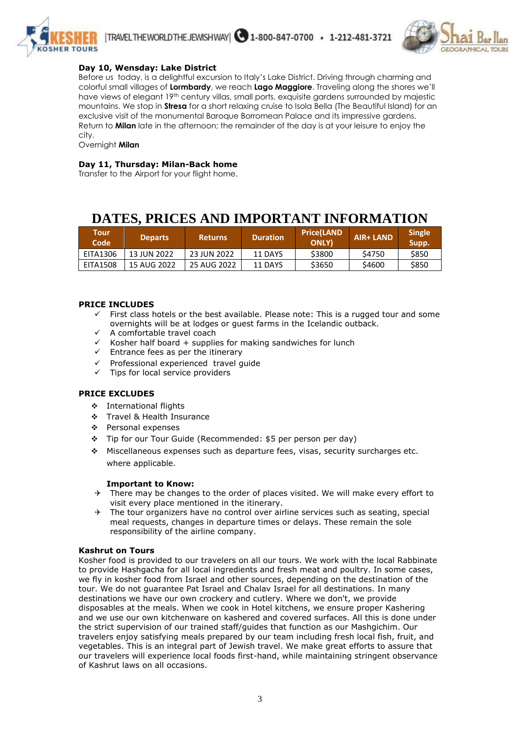



# **Day 10, Wensday: Lake District**

Before us today, is a delightful excursion to Italy's Lake District. Driving through charming and colorful small villages of **Lormbardy**, we reach **Lago Maggiore**. Traveling along the shores we'll have views of elegant 19th century villas, small ports, exquisite gardens surrounded by majestic mountains. We stop in **Stresa** for a short relaxing cruise to Isola Bella (The Beautiful Island) for an exclusive visit of the monumental Baroque Borromean Palace and its impressive gardens. Return to **Milan** late in the afternoon; the remainder of the day is at your leisure to enjoy the city.

Overnight **Milan**

#### **Day 11, Thursday: Milan-Back home**

Transfer to the Airport for your flight home.

# **DATES, PRICES AND IMPORTANT INFORMATION**

| Tour<br>Code    | <b>Departs</b> | /Returns    | <b>Duration</b> | <b>Price(LAND</b><br><b>ONLY</b> | <b>AIR+ LAND</b> | <b>Single</b><br>Supp. |
|-----------------|----------------|-------------|-----------------|----------------------------------|------------------|------------------------|
| EITA1306        | 13 JUN 2022    | 23 JUN 2022 | 11 DAYS         | \$3800                           | S4750            | \$850                  |
| <b>EITA1508</b> | 15 AUG 2022    | 25 AUG 2022 | 11 DAYS         | \$3650                           | \$4600           | \$850                  |

#### **PRICE INCLUDES**

- First class hotels or the best available. Please note: This is a rugged tour and some overnights will be at lodges or guest farms in the Icelandic outback.
- $\checkmark$  A comfortable travel coach
- $\checkmark$  Kosher half board + supplies for making sandwiches for lunch
- $\checkmark$  Entrance fees as per the itinerary
- Professional experienced travel guide
- $\checkmark$  Tips for local service providers

#### **PRICE EXCLUDES**

- International flights
- Travel & Health Insurance
- Personal expenses
- Tip for our Tour Guide (Recommended: \$5 per person per day)
- Miscellaneous expenses such as departure fees, visas, security surcharges etc. where applicable.

#### **Important to Know:**

- $\rightarrow$  There may be changes to the order of places visited. We will make every effort to visit every place mentioned in the itinerary.
- $\rightarrow$  The tour organizers have no control over airline services such as seating, special meal requests, changes in departure times or delays. These remain the sole responsibility of the airline company.

#### **Kashrut on Tours**

Kosher food is provided to our travelers on all our tours. We work with the local Rabbinate to provide Hashgacha for all local ingredients and fresh meat and poultry. In some cases, we fly in kosher food from Israel and other sources, depending on the destination of the tour. We do not guarantee Pat Israel and Chalav Israel for all destinations. In many destinations we have our own crockery and cutlery. Where we don't, we provide disposables at the meals. When we cook in Hotel kitchens, we ensure proper Kashering and we use our own kitchenware on kashered and covered surfaces. All this is done under the strict supervision of our trained staff/guides that function as our Mashgichim. Our travelers enjoy satisfying meals prepared by our team including fresh local fish, fruit, and vegetables. This is an integral part of Jewish travel. We make great efforts to assure that our travelers will experience local foods first-hand, while maintaining stringent observance of Kashrut laws on all occasions.